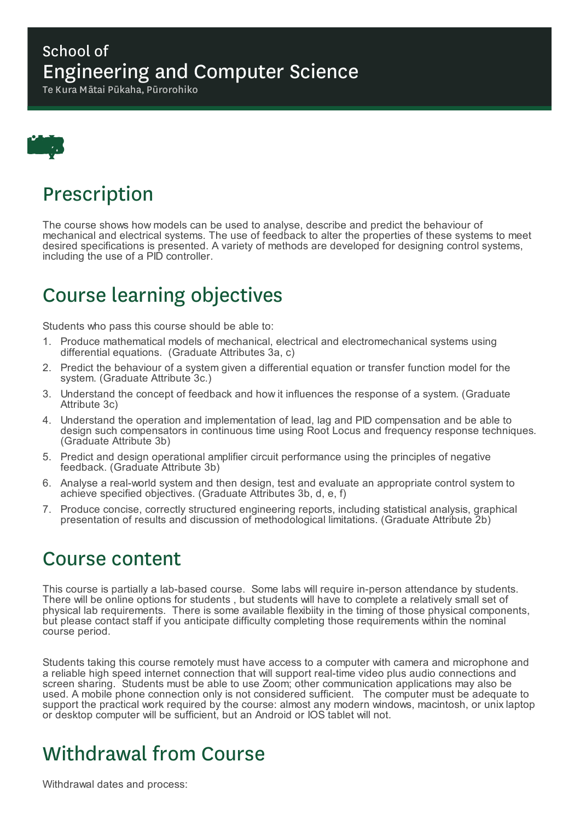#### School of Engineering and Computer Science

Te Kura Mātai Pūkaha, Pūrorohiko



## Prescription

The course shows how models can be used to analyse, describe and predict the behaviour of mechanical and electrical systems. The use of feedback to alter the properties of these systems to meet desired specifications is presented. A variety of methods are developed for designing control systems, including the use of a PID controller.

# Course learning objectives

Students who pass this course should be able to:

- 1. Produce mathematical models of mechanical, electrical and electromechanical systems using differential equations. (Graduate Attributes 3a, c)
- 2. Predict the behaviour of a system given a differential equation or transfer function model for the system. (Graduate Attribute 3c.)
- 3. Understand the concept of feedback and how it influences the response of a system. (Graduate Attribute 3c)
- 4. Understand the operation and implementation of lead, lag and PID compensation and be able to design such compensators in continuous time using Root Locus and frequency response techniques*.* (Graduate Attribute 3b)
- 5. Predict and design operational amplifier circuit performance using the principles of negative feedback. (Graduate Attribute 3b)
- 6. Analyse a real-world system and then design, test and evaluate an appropriate control system to achieve specified objectives. (Graduate Attributes 3b, d, e, f)
- 7. Produce concise, correctly structured engineering reports, including statistical analysis, graphical presentation of results and discussion of methodological limitations. (Graduate Attribute 2b)

## Course content

This course is partially a lab-based course. Some labs will require in-person attendance by students. There will be online options for students , but students will have to complete a relatively small set of physical lab requirements. There is some available flexibiity in the timing of those physical components, but please contact staff if you anticipate difficulty completing those requirements within the nominal course period.

Students taking this course remotely must have access to a computer with camera and microphone and a reliable high speed internet connection that will support real-time video plus audio connections and screen sharing. Students must be able to use Zoom; other communication applications may also be used. A mobile phone connection only is not considered sufficient. The computer must be adequate to support the practical work required by the course: almost any modern windows, macintosh, or unix laptop or desktop computer will be sufficient, but an Android or IOS tablet will not.

# Withdrawal from Course

Withdrawal dates and process: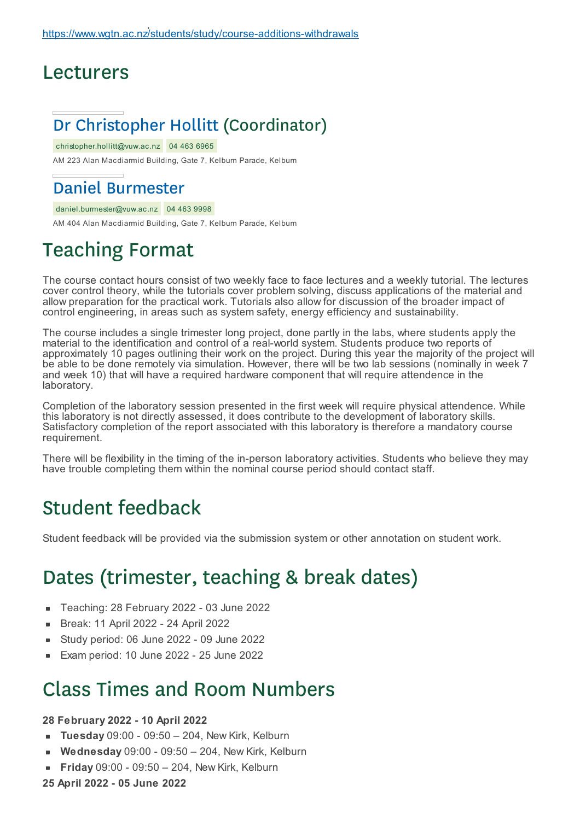### Lecturers

## Dr Christopher Hollitt (Coordinator)

christopher.hollitt@vuw.ac.nz 04 463 6965 AM 223 Alan Macdiarmid Building, Gate 7, Kelburn Parade, Kelburn

#### Daniel Burmester

#### daniel.burmester@vuw.ac.nz 04 463 9998

AM 404 Alan Macdiarmid Building, Gate 7, Kelburn Parade, Kelburn

## Teaching Format

The course contact hours consist of two weekly face to face lectures and a weekly tutorial. The lectures cover control theory, while the tutorials cover problem solving, discuss applications of the material and allow preparation for the practical work. Tutorials also allow for discussion of the broader impact of control engineering, in areas such as system safety, energy efficiency and sustainability.

The course includes a single trimester long project, done partly in the labs, where students apply the material to the identification and control of a real-world system. Students produce two reports of approximately 10 pages outlining their work on the project. During this year the majority of the project will be able to be done remotely via simulation. However, there will be two lab sessions (nominally in week 7 and week 10) that will have a required hardware component that will require attendence in the laboratory.

Completion of the laboratory session presented in the first week will require physical attendence. While this laboratory is not directly assessed, it does contribute to the development of laboratory skills. Satisfactory completion of the report associated with this laboratory is therefore a mandatory course requirement.

There will be flexibility in the timing of the in-person laboratory activities. Students who believe they may have trouble completing them within the nominal course period should contact staff.

## Student feedback

Student feedback will be provided via the submission system or other annotation on student work.

## Dates (trimester, teaching & break dates)

- Teaching: 28 February 2022 03 June 2022  $\blacksquare$
- Break: 11 April 2022 24 April 2022 É
- Study period: 06 June 2022 09 June 2022
- Exam period: 10 June 2022 25 June 2022

### Class Times and Room Numbers

#### **28 February 2022 - 10 April 2022**

- **Tuesday** 09:00 09:50 204, New Kirk, Kelburn
- **Wednesday** 09:00 09:50 204, New Kirk, Kelburn
- **Friday** 09:00 09:50 204, New Kirk, Kelburn
- **25 April 2022 - 05 June 2022**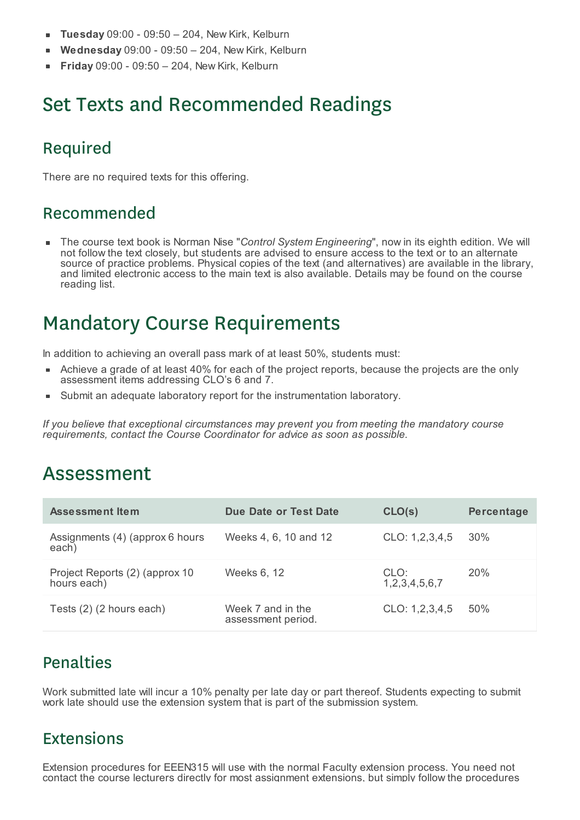- **Tuesday** 09:00 09:50 204, New Kirk, Kelburn
- **Wednesday** 09:00 09:50 204, New Kirk, Kelburn É
- **Friday** 09:00 09:50 204, New Kirk, Kelburn

# Set Texts and Recommended Readings

### Required

There are no required texts for this offering.

#### Recommended

The course text book is Norman Nise "*Control System Engineering*", now in its eighth edition. We will not follow the text closely, but students are advised to ensure access to the text or to an alternate source of practice problems. Physical copies of the text (and alternatives) are available in the library, and limited electronic access to the main text is also available. Details may be found on the course reading list.

## Mandatory Course Requirements

In addition to achieving an overall pass mark of at least 50%, students must:

- Achieve a grade of at least 40% for each of the project reports, because the projects are the only assessment items addressing CLO's 6 and 7.
- Submit an adequate laboratory report for the instrumentation laboratory.

*If you believe that exceptional circumstances may prevent you from meeting the mandatory course requirements, contact the Course Coordinator for advice as soon as possible.*

## Assessment

| <b>Assessment Item</b>                        | Due Date or Test Date                   | CLO(s)                | Percentage |
|-----------------------------------------------|-----------------------------------------|-----------------------|------------|
| Assignments (4) (approx 6 hours<br>each)      | Weeks 4, 6, 10 and 12                   | CLO: 1,2,3,4,5        | 30%        |
| Project Reports (2) (approx 10<br>hours each) | Weeks 6, 12                             | CLO:<br>1,2,3,4,5,6,7 | 20%        |
| Tests (2) (2 hours each)                      | Week 7 and in the<br>assessment period. | CLO: 1,2,3,4,5        | 50%        |

#### Penalties

Work submitted late will incur a 10% penalty per late day or part thereof. Students expecting to submit work late should use the extension system that is part of the submission system.

#### Extensions

Extension procedures for EEEN315 will use with the normal Faculty extension process. You need not contact the course lecturers directly for most assignment extensions, but simply follow the procedures